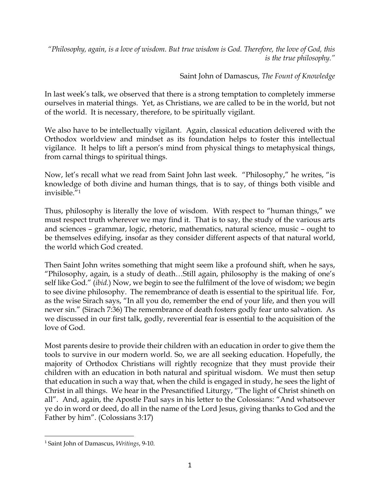*"Philosophy, again, is a love of wisdom. But true wisdom is God. Therefore, the love of God, this is the true philosophy."*

Saint John of Damascus, *The Fount of Knowledge*

In last week's talk, we observed that there is a strong temptation to completely immerse ourselves in material things. Yet, as Christians, we are called to be in the world, but not of the world. It is necessary, therefore, to be spiritually vigilant.

We also have to be intellectually vigilant. Again, classical education delivered with the Orthodox worldview and mindset as its foundation helps to foster this intellectual vigilance. It helps to lift a person's mind from physical things to metaphysical things, from carnal things to spiritual things.

Now, let's recall what we read from Saint John last week. "Philosophy," he writes, "is knowledge of both divine and human things, that is to say, of things both visible and invisible."1

Thus, philosophy is literally the love of wisdom. With respect to "human things," we must respect truth wherever we may find it. That is to say, the study of the various arts and sciences – grammar, logic, rhetoric, mathematics, natural science, music – ought to be themselves edifying, insofar as they consider different aspects of that natural world, the world which God created.

Then Saint John writes something that might seem like a profound shift, when he says, "Philosophy, again, is a study of death…Still again, philosophy is the making of one's self like God." (*ibid.*) Now, we begin to see the fulfilment of the love of wisdom; we begin to see divine philosophy. The remembrance of death is essential to the spiritual life. For, as the wise Sirach says, "In all you do, remember the end of your life, and then you will never sin." (Sirach 7:36) The remembrance of death fosters godly fear unto salvation. As we discussed in our first talk, godly, reverential fear is essential to the acquisition of the love of God.

Most parents desire to provide their children with an education in order to give them the tools to survive in our modern world. So, we are all seeking education. Hopefully, the majority of Orthodox Christians will rightly recognize that they must provide their children with an education in both natural and spiritual wisdom. We must then setup that education in such a way that, when the child is engaged in study, he sees the light of Christ in all things. We hear in the Presanctified Liturgy, "The light of Christ shineth on all". And, again, the Apostle Paul says in his letter to the Colossians: "And whatsoever ye do in word or deed, do all in the name of the Lord Jesus, giving thanks to God and the Father by him". (Colossians 3:17)

<sup>1</sup> Saint John of Damascus, *Writings*, 9-10.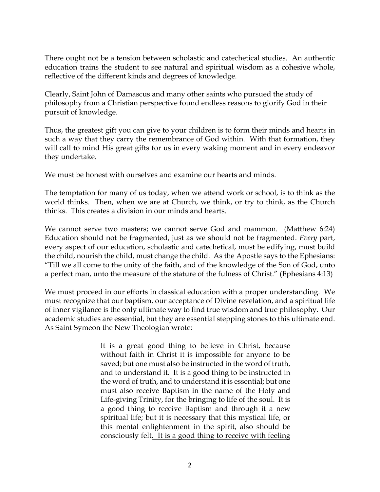There ought not be a tension between scholastic and catechetical studies. An authentic education trains the student to see natural and spiritual wisdom as a cohesive whole, reflective of the different kinds and degrees of knowledge.

Clearly, Saint John of Damascus and many other saints who pursued the study of philosophy from a Christian perspective found endless reasons to glorify God in their pursuit of knowledge.

Thus, the greatest gift you can give to your children is to form their minds and hearts in such a way that they carry the remembrance of God within. With that formation, they will call to mind His great gifts for us in every waking moment and in every endeavor they undertake.

We must be honest with ourselves and examine our hearts and minds.

The temptation for many of us today, when we attend work or school, is to think as the world thinks. Then, when we are at Church, we think, or try to think, as the Church thinks. This creates a division in our minds and hearts.

We cannot serve two masters; we cannot serve God and mammon. (Matthew 6:24) Education should not be fragmented, just as we should not be fragmented. *Every* part, every aspect of our education, scholastic and catechetical, must be edifying, must build the child, nourish the child, must change the child. As the Apostle says to the Ephesians: "Till we all come to the unity of the faith, and of the knowledge of the Son of God, unto a perfect man, unto the measure of the stature of the fulness of Christ." (Ephesians 4:13)

We must proceed in our efforts in classical education with a proper understanding. We must recognize that our baptism, our acceptance of Divine revelation, and a spiritual life of inner vigilance is the only ultimate way to find true wisdom and true philosophy. Our academic studies are essential, but they are essential stepping stones to this ultimate end. As Saint Symeon the New Theologian wrote:

> It is a great good thing to believe in Christ, because without faith in Christ it is impossible for anyone to be saved; but one must also be instructed in the word of truth, and to understand it. It is a good thing to be instructed in the word of truth, and to understand it is essential; but one must also receive Baptism in the name of the Holy and Life-giving Trinity, for the bringing to life of the soul. It is a good thing to receive Baptism and through it a new spiritual life; but it is necessary that this mystical life, or this mental enlightenment in the spirit, also should be consciously felt. It is a good thing to receive with feeling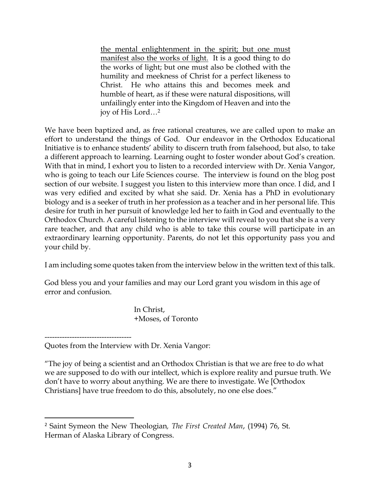the mental enlightenment in the spirit; but one must manifest also the works of light. It is a good thing to do the works of light; but one must also be clothed with the humility and meekness of Christ for a perfect likeness to Christ. He who attains this and becomes meek and humble of heart, as if these were natural dispositions, will unfailingly enter into the Kingdom of Heaven and into the joy of His Lord…2

We have been baptized and, as free rational creatures, we are called upon to make an effort to understand the things of God. Our endeavor in the Orthodox Educational Initiative is to enhance students' ability to discern truth from falsehood, but also, to take a different approach to learning. Learning ought to foster wonder about God's creation. With that in mind, I exhort you to listen to a recorded interview with Dr. Xenia Vangor, who is going to teach our Life Sciences course. The interview is found on the blog post section of our website. I suggest you listen to this interview more than once. I did, and I was very edified and excited by what she said. Dr. Xenia has a PhD in evolutionary biology and is a seeker of truth in her profession as a teacher and in her personal life. This desire for truth in her pursuit of knowledge led her to faith in God and eventually to the Orthodox Church. A careful listening to the interview will reveal to you that she is a very rare teacher, and that any child who is able to take this course will participate in an extraordinary learning opportunity. Parents, do not let this opportunity pass you and your child by.

I am including some quotes taken from the interview below in the written text of this talk.

God bless you and your families and may our Lord grant you wisdom in this age of error and confusion.

> In Christ, +Moses, of Toronto

"The joy of being a scientist and an Orthodox Christian is that we are free to do what we are supposed to do with our intellect, which is explore reality and pursue truth. We don't have to worry about anything. We are there to investigate. We [Orthodox Christians] have true freedom to do this, absolutely, no one else does."

<sup>-----------------------------------</sup> Quotes from the Interview with Dr. Xenia Vangor:

<sup>2</sup> Saint Symeon the New Theologian*, The First Created Man*, (1994) 76, St. Herman of Alaska Library of Congress.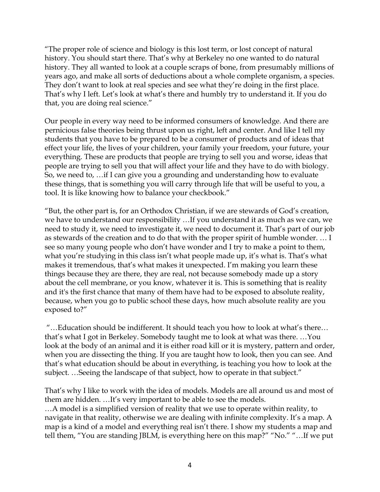"The proper role of science and biology is this lost term, or lost concept of natural history. You should start there. That's why at Berkeley no one wanted to do natural history. They all wanted to look at a couple scraps of bone, from presumably millions of years ago, and make all sorts of deductions about a whole complete organism, a species. They don't want to look at real species and see what they're doing in the first place. That's why I left. Let's look at what's there and humbly try to understand it. If you do that, you are doing real science."

Our people in every way need to be informed consumers of knowledge. And there are pernicious false theories being thrust upon us right, left and center. And like I tell my students that you have to be prepared to be a consumer of products and of ideas that effect your life, the lives of your children, your family your freedom, your future, your everything. These are products that people are trying to sell you and worse, ideas that people are trying to sell you that will affect your life and they have to do with biology. So, we need to, …if I can give you a grounding and understanding how to evaluate these things, that is something you will carry through life that will be useful to you, a tool. It is like knowing how to balance your checkbook."

"But, the other part is, for an Orthodox Christian, if we are stewards of God's creation, we have to understand our responsibility …If you understand it as much as we can, we need to study it, we need to investigate it, we need to document it. That's part of our job as stewards of the creation and to do that with the proper spirit of humble wonder. … I see so many young people who don't have wonder and I try to make a point to them, what you're studying in this class isn't what people made up, it's what is. That's what makes it tremendous, that's what makes it unexpected. I'm making you learn these things because they are there, they are real, not because somebody made up a story about the cell membrane, or you know, whatever it is. This is something that is reality and it's the first chance that many of them have had to be exposed to absolute reality, because, when you go to public school these days, how much absolute reality are you exposed to?"

"…Education should be indifferent. It should teach you how to look at what's there… that's what I got in Berkeley. Somebody taught me to look at what was there. …You look at the body of an animal and it is either road kill or it is mystery, pattern and order, when you are dissecting the thing. If you are taught how to look, then you can see. And that's what education should be about in everything, is teaching you how to look at the subject. …Seeing the landscape of that subject, how to operate in that subject."

That's why I like to work with the idea of models. Models are all around us and most of them are hidden. …It's very important to be able to see the models.

…A model is a simplified version of reality that we use to operate within reality, to navigate in that reality, otherwise we are dealing with infinite complexity. It's a map. A map is a kind of a model and everything real isn't there. I show my students a map and tell them, "You are standing JBLM, is everything here on this map?" "No." "…If we put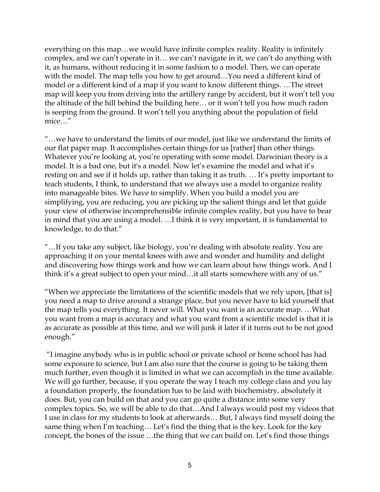everything on this map…we would have infinite complex reality. Reality is infinitely complex, and we can't operate in it… we can't navigate in it, we can't do anything with it, as humans, without reducing it in some fashion to a model. Then, we can operate with the model. The map tells you how to get around…You need a different kind of model or a different kind of a map if you want to know different things. …The street map will keep you from driving into the artillery range by accident, but it won't tell you the altitude of the hill behind the building here… or it won't tell you how much radon is seeping from the ground. It won't tell you anything about the population of field mice…"

"…we have to understand the limits of our model, just like we understand the limits of our flat paper map. It accomplishes certain things for us [rather] than other things. Whatever you're looking at, you're operating with some model. Darwinian theory is a model. It is a bad one, but it's a model. Now let's examine the model and what it's resting on and see if it holds up, rather than taking it as truth. … It's pretty important to teach students, I think, to understand that we always use a model to organize reality into manageable bites. We have to simplify. When you build a model you are simplifying, you are reducing, you are picking up the salient things and let that guide your view of otherwise incomprehensible infinite complex reality, but you have to bear in mind that you are using a model. …I think it is very important, it is fundamental to knowledge, to do that."

"…If you take any subject, like biology, you're dealing with absolute reality. You are approaching it on your mental knees with awe and wonder and humility and delight and discovering how things work and how we can learn about how things work. And I think it's a great subject to open your mind…it all starts somewhere with any of us."

"When we appreciate the limitations of the scientific models that we rely upon, [that is] you need a map to drive around a strange place, but you never have to kid yourself that the map tells you everything. It never will. What you want is an accurate map. …What you want from a map is accuracy and what you want from a scientific model is that it is as accurate as possible at this time, and we will junk it later if it turns out to be not good enough."

"I imagine anybody who is in public school or private school or home school has had some exposure to science, but I am also sure that the course is going to be taking them much further, even though it is limited in what we can accomplish in the time available. We will go further, because, if you operate the way I teach my college class and you lay a foundation properly, the foundation has to be laid with biochemistry, absolutely it does. But, you can build on that and you can go quite a distance into some very complex topics. So, we will be able to do that…And I always would post my videos that I use in class for my students to look at afterwards… But, I always find myself doing the same thing when I'm teaching… Let's find the thing that is the key. Look for the key concept, the bones of the issue …the thing that we can build on. Let's find those things